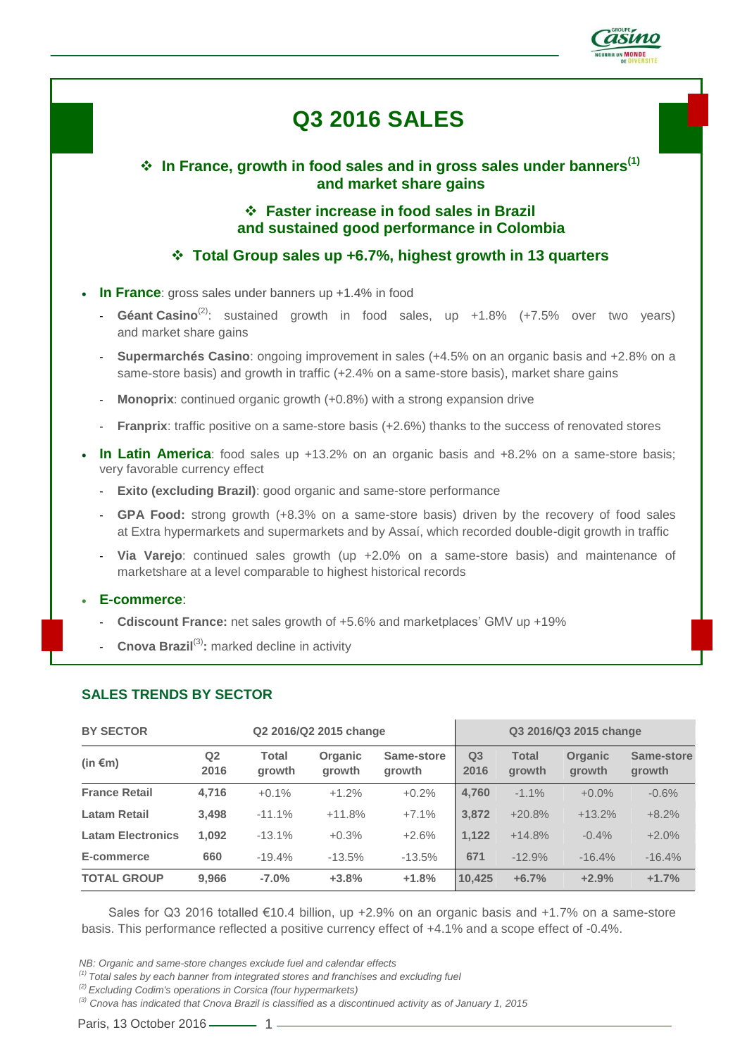

# **Q3 2016 SALES**

 **In France, growth in food sales and in gross sales under banners(1) and market share gains**

> **Faster increase in food sales in Brazil and sustained good performance in Colombia**

**Total Group sales up +6.7%, highest growth in 13 quarters**

- In France: gross sales under banners up +1.4% in food
	- **Géant Casino**(2): sustained growth in food sales, up +1.8% (+7.5% over two years) and market share gains
	- **Supermarchés Casino**: ongoing improvement in sales (+4.5% on an organic basis and +2.8% on a same-store basis) and growth in traffic (+2.4% on a same-store basis), market share gains
	- **Monoprix**: continued organic growth (+0.8%) with a strong expansion drive
	- **Franprix**: traffic positive on a same-store basis (+2.6%) thanks to the success of renovated stores
- **In Latin America**: food sales up +13.2% on an organic basis and +8.2% on a same-store basis; very favorable currency effect
	- **Exito (excluding Brazil)**: good organic and same-store performance
	- **GPA Food:** strong growth (+8.3% on a same-store basis) driven by the recovery of food sales at Extra hypermarkets and supermarkets and by Assaí, which recorded double-digit growth in traffic
	- **Via Varejo**: continued sales growth (up +2.0% on a same-store basis) and maintenance of marketshare at a level comparable to highest historical records

#### **E-commerce**:

- **Cdiscount France:** net sales growth of +5.6% and marketplaces' GMV up +19%
- **Cnova Brazil<sup>(3)</sup>:** marked decline in activity

## **SALES TRENDS BY SECTOR**

| <b>BY SECTOR</b><br>Q2 2016/Q2 2015 change |                        |                 |                   | Q3 2016/Q3 2015 change |                        |                        |                          |                      |
|--------------------------------------------|------------------------|-----------------|-------------------|------------------------|------------------------|------------------------|--------------------------|----------------------|
| (in $\epsilon$ m)                          | Q <sub>2</sub><br>2016 | Total<br>growth | Organic<br>growth | Same-store<br>growth   | Q <sub>3</sub><br>2016 | <b>Total</b><br>growth | <b>Organic</b><br>growth | Same-store<br>growth |
| <b>France Retail</b>                       | 4,716                  | $+0.1%$         | $+1.2%$           | $+0.2%$                | 4,760                  | $-1.1\%$               | $+0.0\%$                 | $-0.6%$              |
| <b>Latam Retail</b>                        | 3,498                  | $-11.1%$        | $+11.8%$          | $+7.1%$                | 3,872                  | $+20.8%$               | $+13.2%$                 | $+8.2%$              |
| <b>Latam Electronics</b>                   | 1.092                  | $-13.1%$        | $+0.3%$           | $+2.6%$                | 1.122                  | $+14.8%$               | $-0.4%$                  | $+2.0%$              |
| E-commerce                                 | 660                    | $-19.4%$        | $-13.5%$          | $-13.5%$               | 671                    | $-12.9%$               | $-16.4%$                 | $-16.4%$             |
| <b>TOTAL GROUP</b>                         | 9.966                  | $-7.0\%$        | $+3.8%$           | $+1.8%$                | 10.425                 | $+6.7%$                | $+2.9%$                  | $+1.7%$              |

Sales for Q3 2016 totalled €10.4 billion, up +2.9% on an organic basis and +1.7% on a same-store basis. This performance reflected a positive currency effect of +4.1% and a scope effect of -0.4%.

*NB: Organic and same-store changes exclude fuel and calendar effects*

*(2) Excluding Codim's operations in Corsica (four hypermarkets)*

*(3) Cnova has indicated that Cnova Brazil is classified as a discontinued activity as of January 1, 2015*

Paris, 13 October 2016 – 1

*<sup>(1)</sup> Total sales by each banner from integrated stores and franchises and excluding fuel*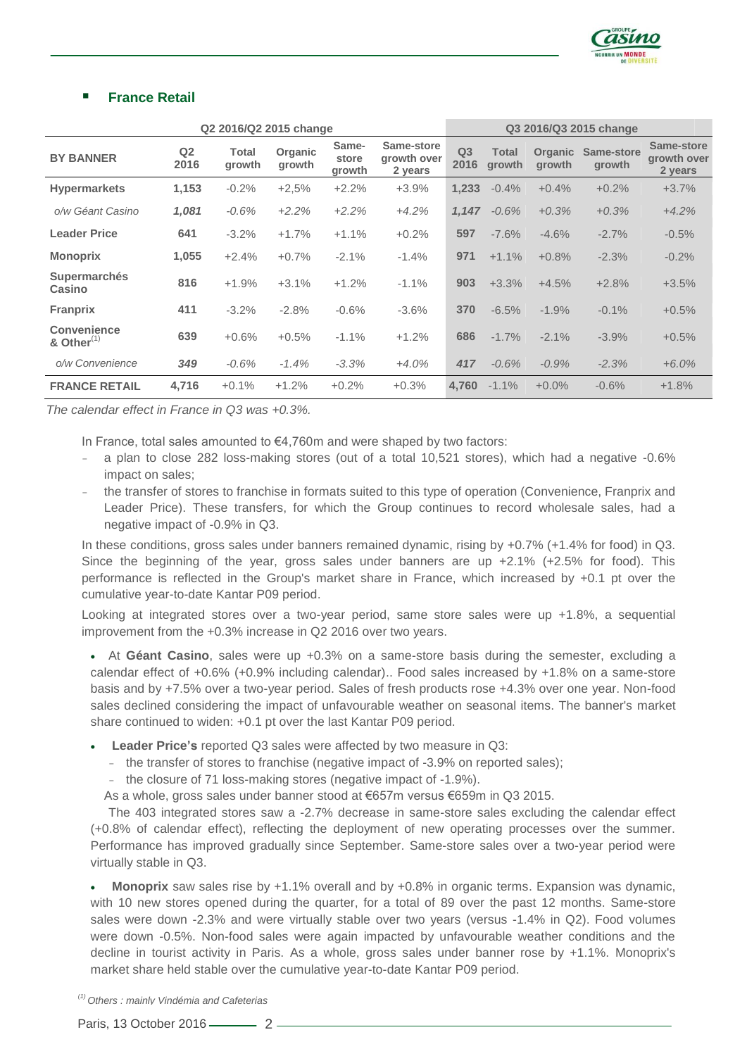

## **France Retail**

| Q2 2016/Q2 2015 change        |                        |                        |                          |                          | Q3 2016/Q3 2015 change               |                        |                        |                          |                      |                                      |
|-------------------------------|------------------------|------------------------|--------------------------|--------------------------|--------------------------------------|------------------------|------------------------|--------------------------|----------------------|--------------------------------------|
| <b>BY BANNER</b>              | Q <sub>2</sub><br>2016 | <b>Total</b><br>growth | <b>Organic</b><br>growth | Same-<br>store<br>growth | Same-store<br>growth over<br>2 years | Q <sub>3</sub><br>2016 | <b>Total</b><br>growth | <b>Organic</b><br>growth | Same-store<br>growth | Same-store<br>growth over<br>2 years |
| <b>Hypermarkets</b>           | 1,153                  | $-0.2%$                | $+2.5%$                  | $+2.2%$                  | $+3.9%$                              | 1,233                  | $-0.4%$                | $+0.4%$                  | $+0.2%$              | $+3.7%$                              |
| o/w Géant Casino              | 1,081                  | $-0.6%$                | $+2.2%$                  | $+2.2%$                  | $+4.2%$                              | 1,147                  | $-0.6%$                | $+0.3%$                  | $+0.3%$              | $+4.2%$                              |
| <b>Leader Price</b>           | 641                    | $-3.2%$                | $+1.7%$                  | $+1.1%$                  | $+0.2%$                              | 597                    | $-7.6%$                | $-4.6%$                  | $-2.7%$              | $-0.5%$                              |
| <b>Monoprix</b>               | 1,055                  | $+2.4%$                | $+0.7%$                  | $-2.1%$                  | $-1.4%$                              | 971                    | $+1.1%$                | $+0.8%$                  | $-2.3%$              | $-0.2%$                              |
| <b>Supermarchés</b><br>Casino | 816                    | $+1.9%$                | $+3.1%$                  | $+1.2%$                  | $-1.1%$                              | 903                    | $+3.3%$                | $+4.5%$                  | $+2.8%$              | $+3.5%$                              |
| <b>Franprix</b>               | 411                    | $-3.2%$                | $-2.8%$                  | $-0.6%$                  | $-3.6%$                              | 370                    | $-6.5%$                | $-1.9%$                  | $-0.1%$              | $+0.5%$                              |
| Convenience<br>& Other $(1)$  | 639                    | $+0.6%$                | $+0.5%$                  | $-1.1%$                  | $+1.2%$                              | 686                    | $-1.7%$                | $-2.1%$                  | $-3.9%$              | $+0.5%$                              |
| o/w Convenience               | 349                    | $-0.6%$                | $-1.4%$                  | $-3.3%$                  | $+4.0%$                              | 417                    | $-0.6%$                | $-0.9%$                  | $-2.3%$              | $+6.0%$                              |
| <b>FRANCE RETAIL</b>          | 4,716                  | $+0.1%$                | $+1.2%$                  | $+0.2%$                  | $+0.3%$                              | 4,760                  | $-1.1%$                | $+0.0%$                  | $-0.6%$              | $+1.8%$                              |

*The calendar effect in France in Q3 was +0.3%.*

In France, total sales amounted to  $\epsilon$ 4,760m and were shaped by two factors:

- a plan to close 282 loss-making stores (out of a total 10,521 stores), which had a negative -0.6% impact on sales;
- the transfer of stores to franchise in formats suited to this type of operation (Convenience, Franprix and Leader Price). These transfers, for which the Group continues to record wholesale sales, had a negative impact of -0.9% in Q3.

In these conditions, gross sales under banners remained dynamic, rising by +0.7% (+1.4% for food) in Q3. Since the beginning of the year, gross sales under banners are up  $+2.1\%$  ( $+2.5\%$  for food). This performance is reflected in the Group's market share in France, which increased by +0.1 pt over the cumulative year-to-date Kantar P09 period.

Looking at integrated stores over a two-year period, same store sales were up +1.8%, a sequential improvement from the +0.3% increase in Q2 2016 over two years.

 At **Géant Casino**, sales were up +0.3% on a same-store basis during the semester, excluding a calendar effect of +0.6% (+0.9% including calendar).. Food sales increased by +1.8% on a same-store basis and by +7.5% over a two-year period. Sales of fresh products rose +4.3% over one year. Non-food sales declined considering the impact of unfavourable weather on seasonal items. The banner's market share continued to widen: +0.1 pt over the last Kantar P09 period.

**Leader Price's** reported Q3 sales were affected by two measure in Q3:

- the transfer of stores to franchise (negative impact of -3.9% on reported sales);
- the closure of 71 loss-making stores (negative impact of -1.9%).

As a whole, gross sales under banner stood at €657m versus €659m in Q3 2015.

The 403 integrated stores saw a -2.7% decrease in same-store sales excluding the calendar effect (+0.8% of calendar effect), reflecting the deployment of new operating processes over the summer. Performance has improved gradually since September. Same-store sales over a two-year period were virtually stable in Q3.

 **Monoprix** saw sales rise by +1.1% overall and by +0.8% in organic terms. Expansion was dynamic, with 10 new stores opened during the quarter, for a total of 89 over the past 12 months. Same-store sales were down -2.3% and were virtually stable over two years (versus -1.4% in Q2). Food volumes were down -0.5%. Non-food sales were again impacted by unfavourable weather conditions and the decline in tourist activity in Paris. As a whole, gross sales under banner rose by +1.1%. Monoprix's market share held stable over the cumulative year-to-date Kantar P09 period.

*(1) Others : mainly Vindémia and Cafeterias*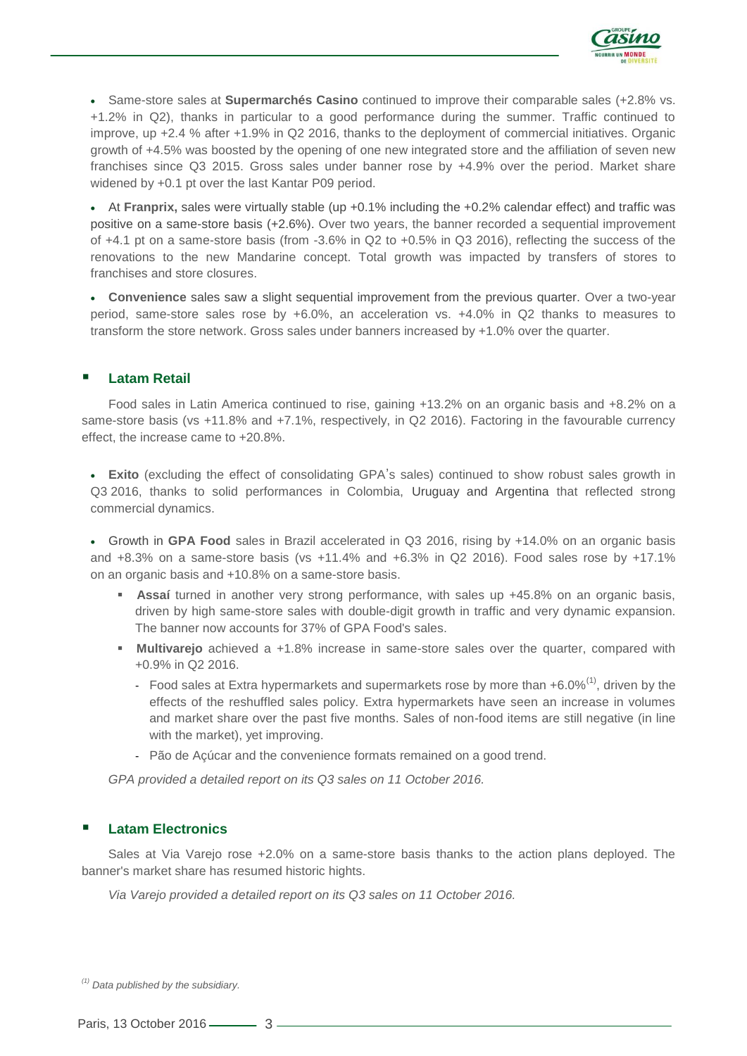

 Same-store sales at **Supermarchés Casino** continued to improve their comparable sales (+2.8% vs. +1.2% in Q2), thanks in particular to a good performance during the summer. Traffic continued to improve, up +2.4 % after +1.9% in Q2 2016, thanks to the deployment of commercial initiatives. Organic growth of +4.5% was boosted by the opening of one new integrated store and the affiliation of seven new franchises since Q3 2015. Gross sales under banner rose by +4.9% over the period. Market share widened by +0.1 pt over the last Kantar P09 period.

 At **Franprix,** sales were virtually stable (up +0.1% including the +0.2% calendar effect) and traffic was positive on a same-store basis (+2.6%). Over two years, the banner recorded a sequential improvement of +4.1 pt on a same-store basis (from -3.6% in Q2 to +0.5% in Q3 2016), reflecting the success of the renovations to the new Mandarine concept. Total growth was impacted by transfers of stores to franchises and store closures.

 **Convenience** sales saw a slight sequential improvement from the previous quarter. Over a two-year period, same-store sales rose by +6.0%, an acceleration vs. +4.0% in Q2 thanks to measures to transform the store network. Gross sales under banners increased by +1.0% over the quarter.

## **Latam Retail**

Food sales in Latin America continued to rise, gaining +13.2% on an organic basis and +8.2% on a same-store basis (vs +11.8% and +7.1%, respectively, in Q2 2016). Factoring in the favourable currency effect, the increase came to +20.8%.

 **Exito** (excluding the effect of consolidating GPA's sales) continued to show robust sales growth in Q3 2016, thanks to solid performances in Colombia, Uruguay and Argentina that reflected strong commercial dynamics.

 Growth in **GPA Food** sales in Brazil accelerated in Q3 2016, rising by +14.0% on an organic basis and  $+8.3\%$  on a same-store basis (vs  $+11.4\%$  and  $+6.3\%$  in Q2 2016). Food sales rose by  $+17.1\%$ on an organic basis and +10.8% on a same-store basis.

- **Assaí** turned in another very strong performance, with sales up +45.8% on an organic basis, driven by high same-store sales with double-digit growth in traffic and very dynamic expansion. The banner now accounts for 37% of GPA Food's sales.
- **Multivarejo** achieved a +1.8% increase in same-store sales over the quarter, compared with +0.9% in Q2 2016.
	- Food sales at Extra hypermarkets and supermarkets rose by more than  $+6.0\%^{(1)}$ , driven by the effects of the reshuffled sales policy. Extra hypermarkets have seen an increase in volumes and market share over the past five months. Sales of non-food items are still negative (in line with the market), yet improving.
	- Pão de Açúcar and the convenience formats remained on a good trend.

*GPA provided a detailed report on its Q3 sales on 11 October 2016.*

## **Latam Electronics**

Sales at Via Varejo rose +2.0% on a same-store basis thanks to the action plans deployed. The banner's market share has resumed historic hights.

*Via Varejo provided a detailed report on its Q3 sales on 11 October 2016.*

*(1) Data published by the subsidiary.*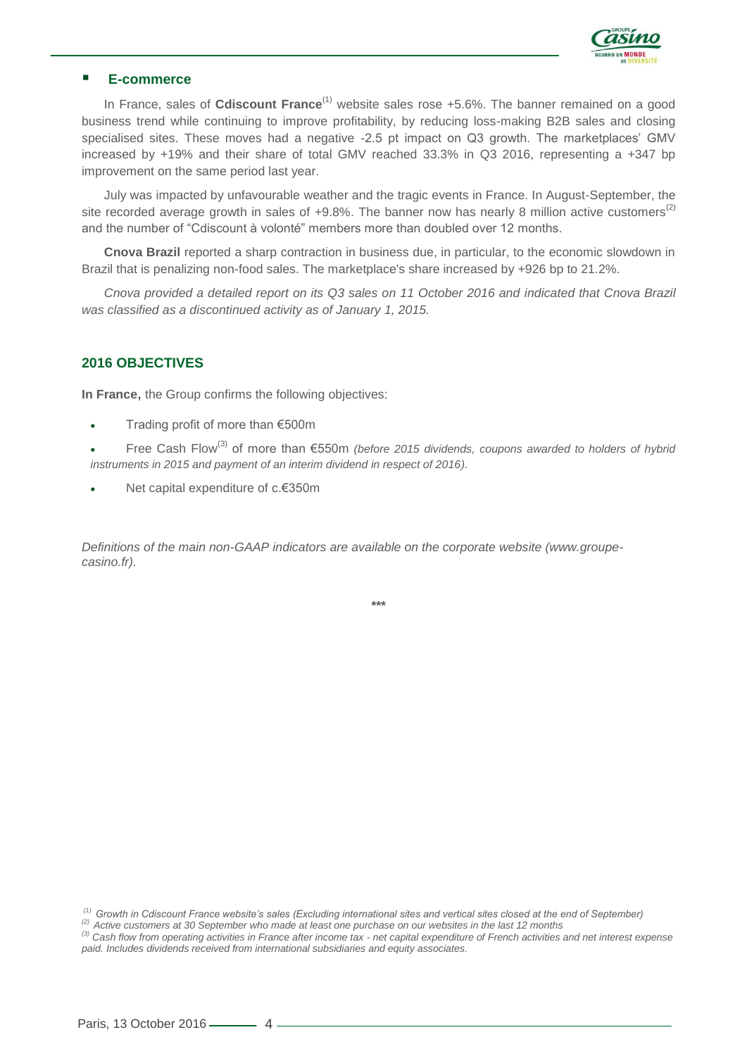

## **E-commerce**

In France, sales of **Cdiscount France**<sup>(1)</sup> website sales rose +5.6%. The banner remained on a good business trend while continuing to improve profitability, by reducing loss-making B2B sales and closing specialised sites. These moves had a negative -2.5 pt impact on Q3 growth. The marketplaces' GMV increased by +19% and their share of total GMV reached 33.3% in Q3 2016, representing a +347 bp improvement on the same period last year.

July was impacted by unfavourable weather and the tragic events in France. In August-September, the site recorded average growth in sales of  $+9.8\%$ . The banner now has nearly 8 million active customers<sup>(2)</sup> and the number of "Cdiscount à volonté" members more than doubled over 12 months.

**Cnova Brazil** reported a sharp contraction in business due, in particular, to the economic slowdown in Brazil that is penalizing non-food sales. The marketplace's share increased by +926 bp to 21.2%.

*Cnova provided a detailed report on its Q3 sales on 11 October 2016 and indicated that Cnova Brazil was classified as a discontinued activity as of January 1, 2015.*

#### **2016 OBJECTIVES**

**In France**, the Group confirms the following objectives:

- Trading profit of more than €500m
- Free Cash Flow(3) of more than €550m *(before 2015 dividends, coupons awarded to holders of hybrid instruments in 2015 and payment of an interim dividend in respect of 2016).*
- Net capital expenditure of c.€350m

*Definitions of the main non-GAAP indicators are available on the corporate website (www.groupecasino.fr).*

**\*\*\***

*(1) Growth in Cdiscount France website's sales (Excluding international sites and vertical sites closed at the end of September)*

*(2) Active customers at 30 September who made at least one purchase on our websites in the last 12 months*

*(3) Cash flow from operating activities in France after income tax - net capital expenditure of French activities and net interest expense paid. Includes dividends received from international subsidiaries and equity associates.*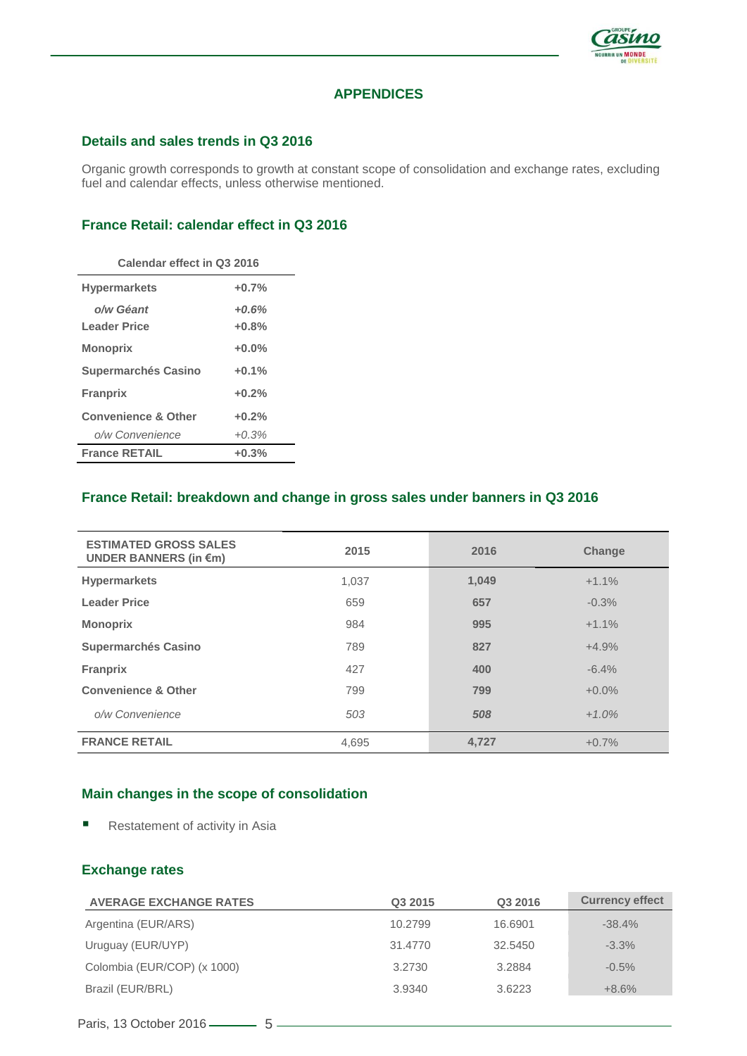

## **APPENDICES**

#### **Details and sales trends in Q3 2016**

Organic growth corresponds to growth at constant scope of consolidation and exchange rates, excluding fuel and calendar effects, unless otherwise mentioned.

## **France Retail: calendar effect in Q3 2016**

| Calendar effect in Q3 2016     |         |  |  |  |  |
|--------------------------------|---------|--|--|--|--|
| <b>Hypermarkets</b>            | $+0.7%$ |  |  |  |  |
| o/w Géant                      | $+0.6%$ |  |  |  |  |
| Leader Price                   | $+0.8%$ |  |  |  |  |
| <b>Monoprix</b>                | $+0.0%$ |  |  |  |  |
| <b>Supermarchés Casino</b>     | $+0.1%$ |  |  |  |  |
| <b>Franprix</b>                | $+0.2%$ |  |  |  |  |
| <b>Convenience &amp; Other</b> | $+0.2%$ |  |  |  |  |
| o/w Convenience                | $+0.3%$ |  |  |  |  |
| <b>France RETAIL</b>           | $+0.3%$ |  |  |  |  |

#### **France Retail: breakdown and change in gross sales under banners in Q3 2016**

| <b>ESTIMATED GROSS SALES</b><br>UNDER BANNERS (in $\epsilon$ m) | 2015  | 2016  | <b>Change</b> |
|-----------------------------------------------------------------|-------|-------|---------------|
| <b>Hypermarkets</b>                                             | 1,037 | 1,049 | $+1.1%$       |
| <b>Leader Price</b>                                             | 659   | 657   | $-0.3%$       |
| <b>Monoprix</b>                                                 | 984   | 995   | $+1.1%$       |
| <b>Supermarchés Casino</b>                                      | 789   | 827   | $+4.9%$       |
| <b>Franprix</b>                                                 | 427   | 400   | $-6.4%$       |
| <b>Convenience &amp; Other</b>                                  | 799   | 799   | $+0.0%$       |
| o/w Convenience                                                 | 503   | 508   | $+1.0%$       |
| <b>FRANCE RETAIL</b>                                            | 4,695 | 4,727 | $+0.7%$       |

## **Main changes in the scope of consolidation**

Restatement of activity in Asia

#### **Exchange rates**

| <b>AVERAGE EXCHANGE RATES</b> | Q3 2015 | Q3 2016 | <b>Currency effect</b> |
|-------------------------------|---------|---------|------------------------|
| Argentina (EUR/ARS)           | 10.2799 | 16.6901 | $-38.4%$               |
| Uruguay (EUR/UYP)             | 31.4770 | 32.5450 | $-3.3%$                |
| Colombia (EUR/COP) (x 1000)   | 3.2730  | 3.2884  | $-0.5%$                |
| Brazil (EUR/BRL)              | 3.9340  | 3.6223  | $+8.6%$                |
|                               |         |         |                        |

Paris, 13 October 2016  $-$  5  $-$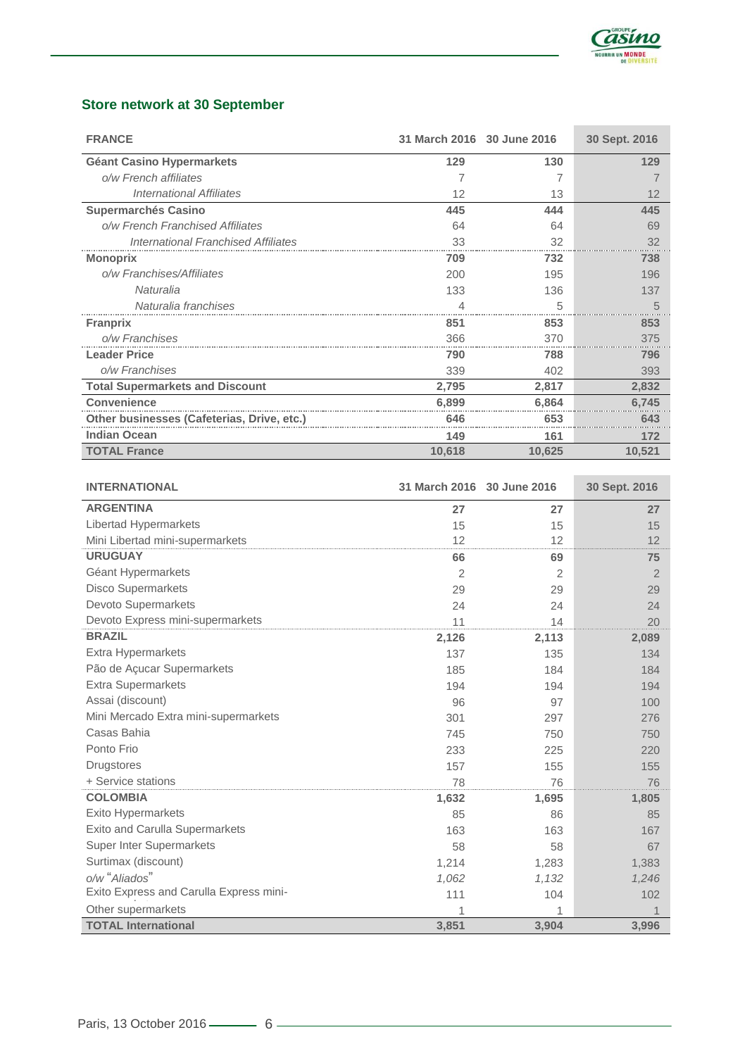

## **Store network at 30 September**

| <b>FRANCE</b>                              | 31 March 2016 30 June 2016 |        | 30 Sept. 2016 |
|--------------------------------------------|----------------------------|--------|---------------|
| <b>Géant Casino Hypermarkets</b>           | 129                        | 130    | 129           |
| o/w French affiliates                      |                            |        |               |
| International Affiliates                   | 12                         | 13     | 12            |
| <b>Supermarchés Casino</b>                 | 445                        | 444    | 445           |
| o/w French Franchised Affiliates           | 64                         | 64     | 69            |
| <b>International Franchised Affiliates</b> | 33                         | 32     | 32            |
| <b>Monoprix</b>                            | 709                        | 732    | 738           |
| o/w Franchises/Affiliates                  | 200                        | 195    | 196           |
| Naturalia                                  | 133                        | 136    | 137           |
| Naturalia franchises                       | 4                          | 5      | 5             |
| <b>Franprix</b>                            | 851                        | 853    | 853           |
| o/w Franchises                             | 366                        | 370    | 375           |
| <b>Leader Price</b>                        | 790                        | 788    | 796           |
| o/w Franchises                             | 339                        | 402    | 393           |
| <b>Total Supermarkets and Discount</b>     | 2,795                      | 2,817  | 2,832         |
| <b>Convenience</b>                         | 6.899                      | 6,864  | 6,745         |
| Other businesses (Cafeterias, Drive, etc.) | 646                        | 653    | 643           |
| <b>Indian Ocean</b>                        | 149                        | 161    | 172           |
| <b>TOTAL France</b>                        | 10,618                     | 10,625 | 10,521        |

| <b>INTERNATIONAL</b>                    | 31 March 2016 30 June 2016 |       | 30 Sept. 2016  |
|-----------------------------------------|----------------------------|-------|----------------|
| <b>ARGENTINA</b>                        | 27                         | 27    | 27             |
| Libertad Hypermarkets                   | 15                         | 15    | 15             |
| Mini Libertad mini-supermarkets         | 12                         | 12    | 12             |
| <b>URUGUAY</b>                          | 66                         | 69    | 75             |
| Géant Hypermarkets                      | 2                          | 2     | $\overline{2}$ |
| <b>Disco Supermarkets</b>               | 29                         | 29    | 29             |
| Devoto Supermarkets                     | 24                         | 24    | 24             |
| Devoto Express mini-supermarkets        | 11                         | 14    | 20             |
| <b>BRAZIL</b>                           | 2,126                      | 2,113 | 2,089          |
| <b>Extra Hypermarkets</b>               | 137                        | 135   | 134            |
| Pão de Açucar Supermarkets              | 185                        | 184   | 184            |
| <b>Extra Supermarkets</b>               | 194                        | 194   | 194            |
| Assai (discount)                        | 96                         | 97    | 100            |
| Mini Mercado Extra mini-supermarkets    | 301                        | 297   | 276            |
| Casas Bahia                             | 745                        | 750   | 750            |
| Ponto Frio                              | 233                        | 225   | 220            |
| <b>Drugstores</b>                       | 157                        | 155   | 155            |
| + Service stations                      | 78                         | 76    | 76             |
| <b>COLOMBIA</b>                         | 1,632                      | 1,695 | 1,805          |
| Exito Hypermarkets                      | 85                         | 86    | 85             |
| Exito and Carulla Supermarkets          | 163                        | 163   | 167            |
| <b>Super Inter Supermarkets</b>         | 58                         | 58    | 67             |
| Surtimax (discount)                     | 1,214                      | 1,283 | 1,383          |
| o/w "Aliados"                           | 1,062                      | 1,132 | 1,246          |
| Exito Express and Carulla Express mini- | 111                        | 104   | 102            |
| Other supermarkets                      | 1                          |       |                |
| <b>TOTAL International</b>              | 3,851                      | 3,904 | 3,996          |